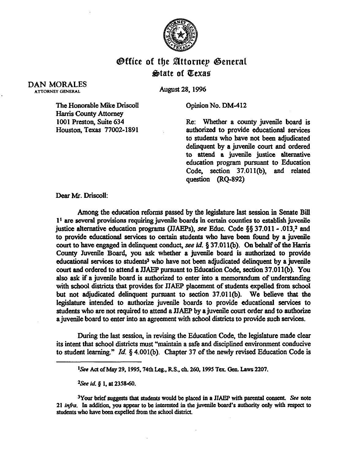

## **Office of the Attornep General** &date of QCexae

## DAN MORALES ATTORNEY GENERAI.

August 28,1996

Opinion No. DM-412

The Honorable Mike Driscoll Harris County Attorney 1001 Preston, Suite 634 Houston, Texas 77002-1891

Re: Whether a county juvenile board is authorized to provide educational services to students who have not been adjudicated delinquent by a juvenile court and ordered to attend a juvenile justice akemative education program pursuant to Education Code, section 37.011(b), and related question (RQ-892)

Dear Mr. Driscoll:

Among the education reforms passed by the legislature last session in Senate Bill  $1<sup>1</sup>$  are several provisions requiring juvenile boards in certain counties to establish juvenile justice alternative education programs (JJAEPs), see Educ. Code  $\S$ § 37.011 - .013,<sup>2</sup> and to provide educational services to certain students who have been found by a juvenile court to have engaged in delinquent conduct, see id.  $\S 37.011(b)$ . On behalf of the Harris Camty Juvenile Board, you ask whether a juvenile board is authorized to provide educational services to students<sup>3</sup> who have not been adjudicated delinquent by a juvenile court and ordered to attend a JJAEP pursuant to Education Code, section 37.01 l(b). You also ask if a juvenile board is authorized to enter into a memorandum of understanding with school districts that provides for JJAEP placement of students expelled from school but not adjudicated delinquent pursuant to section 37.011(b). We believe that the legislature intended to authorize. juvenile boards to provide educational services to students who are not required to attend a JJAEP by a juvenile court order and to authorize a juvenile board to enter into an agreement with school districts to provide such services.

During the last session, in revising the Education Code, the legislature made clear its intent that school districts must "maintain a safe and disciplined environment conducive to student learning." Id. 3 4.001(b). Chapter 37 of the newly revised Education Code is

*<sup>2</sup>See id.* **§ 1. at 2358-60.** 

<sup>3</sup>Your brief suggests that students would be placed in a JJAEP with parental consent. See note **21 infa. In additioq you appear to be intersted in the juvenile board's authority only with respect to**  students who have been expelled from the school district.

<sup>&</sup>lt;sup>1</sup>See Act of May 29, 1995, 74th Leg., R.S., ch. 260, 1995 Tex. Gen. Laws 2207.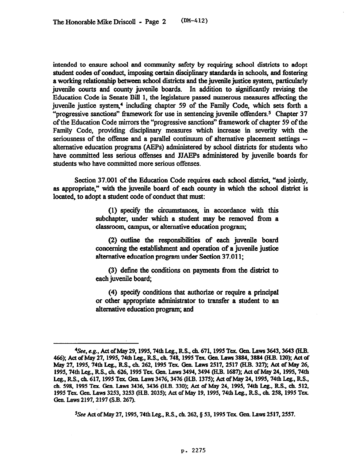intended to ensure school and community safety by requiring school districts to adopt student codes of conduct, imposing certain disciplinary standards in schools, and fostering a working relationship between school districts and the juvenile justice system, particularly juvenile courts and county juvenile boards. Jn addition to significantly revising the Education Code in Senate Bill 1, the legislature passed numerous measures affecting the juvenile justice system,4 including chapter 59 of the Family Code, which sets forth a "progressive sanctions" framework for use in sentencing juvenile offenders.<sup>5</sup> Chapter 37 of the Education Code mirrors the "progressive sanctions" framework of chapter 59 of the Family Code, providing disciplinary. measures which increase in severity with the seriousness of the offense and a parallel continuum of alternative placement settings -alternative education programs (AEPs) administered by school districts for students who have committed less serious offenses and JJAEPs administered by juvenile boards for students who have committed more serious offenses.

Section 37.001 of the Education Code requires each school district, "and jointly, as appropriate," with the juvenile board of each county in which the school district is located, to adopt a student code of conduct that must:

> (1) specify the circumstan ces, in accordance with this subchapter, under which a student may be removed from a classroom, campus, or alternative education program;

> (2) outline the responsibilities of each juvenile board concerning the establishment and operation of a juvenile justice alternative education program under Section 37.011;

> (3) define the conditions on payments from the district to each juvenile board;

> (4) specify cmditions that authorize or require a principal or other appropriate administrator to transfer a student to an alternative education program; and

<sup>5</sup>See Act of May 27, 1995, 74th Leg., R.S., ch. 262, § 53, 1995 Tex. Gen. Laws 2517, 2557.

<sup>&</sup>lt;sup>4</sup>See, e.g., Act of May 29, 1995, 74th Leg., R.S., ch. 671, 1995 Tex. Gen. Laws 3643, 3643 (H.B. 466); Act of May 27, 1995, 74th Leg., R.S., ch. 748, 1995 Tex. Gen. Laws 3884, 3884 (H.B. 120); Act of *May 27. 1995,74tb Leg., RS.. eh. 262,* **1995 Tar Gem Lava 2517.2517 (H.B. 327); Act of May 24 1995.74tb Leg., RS.. ch. 626.1995 Tex. Gen. Laws 3494.3494 @LB. 1687); Act of May 24,1995,74tb**  Leg., R.S., ch. 617, 1995 Tex. Gen. Laws 3476, 3476 (H.B. 1375); Act of May 24, 1995, 74th Leg., R.S., *ch.* 598, 1995 Tex. Gen. Laws 3436, 3436 (H.B. 330); Act of May 24, 1995, 74th Leg., R.S., ch. 512, 1995 Tex. Gen. Laws 3253, 3253 (H.B. 2035); Act of May 19, 1995, 74th Leg., R.S., ch. 258, 1995 Tex. **Gen. Laws 2197,2197 (SB. 267).**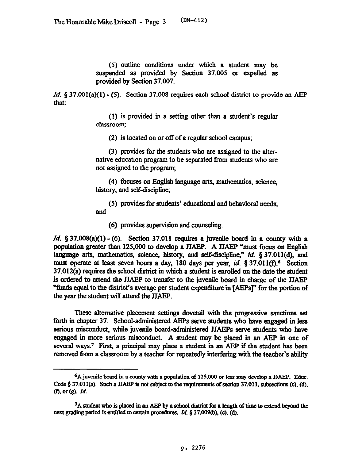(5) outline conditions under which a student may be suspended as provided by Section 37.005 or expelled as provided by Section 37.007.

Id.  $\S 37.001(a)(1) - (5)$ . Section 37.008 requires each school district to provide an AEP that:

> (1) is provided in a setting other than a student's regular classroom;

(2) is located on or off of a regular school campus;

(3) provides for the students who are assigned to the alternative education program to be separated from students who are not assigned to the program;

*(4)* focuses on English language arts, mathematics, science, history, and self-discipline;

(5) provides for students' educational and behavioral needs; and

(6) provides supervision and counseling.

*Id.* § 37.008(a)(1) - (6). Section 37.011 requires a juvenile board in a county with a population greater than 125,000 to develop a JJAEP. A JJAEP "must focus on English language arts, mathematics, science, history, and self-discipline,"  $id$ . § 37.011(d), and must operate at least seven hours a day, 180 days per year, id.  $\S 37.011(f).$ <sup>6</sup> Section 37.012(a) requires the school district in which a student is enrolled on the date the student is ordered to attend the JJAEP to transfer to the juvenile board in charge of the JJAEP "funds equal to the district's average per student expenditure in [AEPs]" for the portion of the year the student will attend the JJAEP.

These alternative placement settings dovetail with the progressive sanctions set forth in chapter 37. School-administered AEPs serve students who have engaged in less serious misconduct, while juvenile board-administered JJAPPs serve students who have engaged in more serious misconduct. A student may be placed in an AEP in one of several ways.<sup>7</sup> First, a principal may place a student in an AEP if the student has been removed from a classroom by a teacher for repeatedly interfering with the teacher's ability

<sup>6</sup>Ajuveaile board in a county with a population cf 125,000 or less may develop a JJAEP. Edna. Code  $\delta$  37.011(a). Such a JJAEP is not subject to the requirements of section 37.011, subsections (c), (d), *(0. or (g). Id.* 

<sup>&</sup>lt;sup>7</sup>A student who is placed in an AEP by a school district for a length of time to extend beyond the next grading period is entitled to certain procedures. *Id.* § 37.009(b), (c), (d).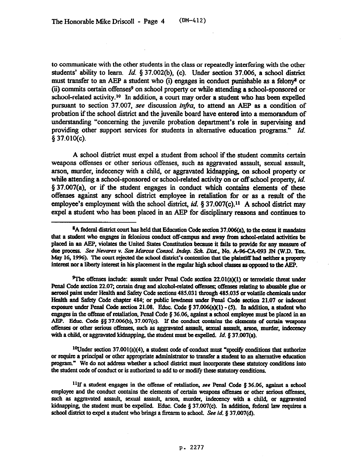to communicate with the other students in the class or repeatedly interfering with the other students' ability to learn. *Id. \$37.002(b), (c).* Under section 37.006, a school district must transfer to an AEP a student who (i) engages in conduct punishable as a felony<sup>8</sup> or (ii) commits certain offenses<sup>9</sup> on school property or while attending a school-sponsored or school-related activity.<sup>10</sup> In addition, a court may order a student who has been expelled pursuant to section 37.007, see discussion *infra*, to attend an AEP as a condition of probation if the school district and the juvenile board have entered into a memorandum of understanding "concerning the juvenile probation department's role in supervising and providing other support services for students in alternative education programs." *Id.*  $§ 37.010(c).$ 

A school district must expel a student from school if the student commits certain weapons offenses or other serious offenses, such as aggravated assault, sexual assault, arson, murder, indecency with a child, or aggravated kidnapping on school property or while attending a school-sponsored or school-related activity on or off school property, *id.*  \$37.007(a), or if the student engages in conduct which contains elements of these offenses against any school district employee in retaliation for or as a result of the employee's employment with the school district,  $id$ , § 37.007(c).<sup>11</sup> A school district may expel a student who has been placed in an AEP for disciplinary reasons and continues to

<sup>9</sup>The offenses include: assault under Penal Code section 22.01(a)(1) or terroristic threat under Penal Code section 22.07; certain drug and alcohol-related offenses; offenses relating to abusable glue or aerosol paint under Health and Safety Code sections 485.031 through 485.035 or volatile chemicals under Health and Safety Code chapter 484; or public lewdness under Penal Code section 21.07 or indecent exposure under Penal Code section 21.08. Educ. Code  $\S 37.006(a)(1) - (5)$ . In addition, a student who engages in the offense of retaliation, Penal Code  $\S 36.06$ , against a school employee must be placed in an AEP. Educ. Code  $\S$ § 37.006(b), 37.007(c). If the conduct contains the elements of certain weapons offenses or other serious offenses, such as aggravated assault, sexual assault, arson, murder, indecency with a child, or aggravated kidnapping, the student must be expelled. *Id.* § 37.007(a).

<sup>10</sup>Under section 37.001(a)(4), a student code of conduct must "specify conditions that authorize or require a principal or other appropriate administrator to transfer a student to an alternative education program." We do not address whether a school district must incorporate these statutory conditions into the student code of conduct or is authorized to add to or modify these statutory conditions.

<sup>11</sup>If a student engages in the offense of retaliation, see Penal Code § 36.06, against a school employee and the conduct contains the elements of certain weapons offenses or other serious offenses, such as aggravated assault, sexual assault, arson, murder, indecency with a child, or aggravated kidnapping, the student must be expelled. Educ. Code  $\S 37.007(c)$ . In addition, federal law requires a school district to expel a student who brings a firearm to school. See *id.* § 37.007(d).

<sup>&</sup>lt;sup>8</sup>A federal district court has held that Education Code section 37.006(a), to the extent it mandates that a student who engages in felonious conduct off-campus and away from school-related activities be placed in an AEP, violates the United States Constitution because it fails to provide for any measure of due process. See Nevares v. San Marcos Consol. Indep. Sch. Dist., No. A-96-CA-093 JN (W.D. Tex. May 16, 1996). The court rejected the school district's contention that the plaintiff had neither a property interest nor a liberty interest in his placement in the regular high school classes as opposed to the AEP.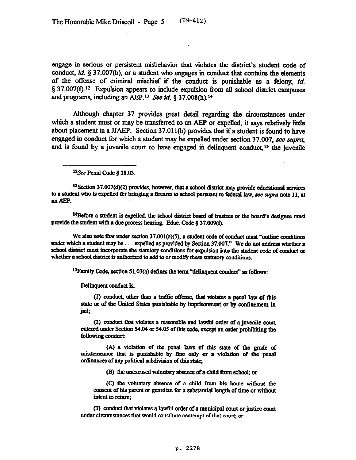engage in serious or persistent misbehavior that violates the district's student code of conduct, *id.* 3 37.007(b), or a student who engages in conduct that contains the elements of the offense of criminal mischief if the conduct is punishable as a felony, *id.*   $\S 37.007(f).$ <sup>12</sup> Expulsion appears to include expulsion from all school district campuses and programs, including an AEP.<sup>13</sup> See id. § 37.008(h).<sup>14</sup>

Although chapter 37 provides great detail regarding the circumstances under which a student must or may be transferred to an AEP or expelled, it says relatively little about placement in a JJAEP. Section 37.01 l(b) provides that if a student is found to have engaged in conduct for which a student may be expelled under section 37.007, see supra, and is found by a juvenile court to have engaged in delinquent conduct,<sup>15</sup> the juvenile

<sup>12</sup>See Penal Code § 28.03.

<sup>13</sup>Section 37.007(d)(2) provides, however, that a school district may provide educational services to a student who is expelled for bringing a firearm to school pursuant to federal law, see supra note 11, at an AEP.

<sup>14</sup>Before a student is expelled, the school district board of trustees or the board's designee must provide the student with a due process hearing. Educ. Code § 37.009(f).

We also note that under section  $37.001(a)(5)$ , a student code of conduct must "outline conditions" under which a student may be . . . expelled as provided by Section 37.007." We do not address whether a school district must incorporate the statutory conditions for expulsion into the student code of conduct or whether a school district is authorized to add to or modify these statutory conditions.

<sup>15</sup> Family Code, section 51.03(a) defines the term "delinquent conduct" as follows:

Delinquent conduct is:

(1) conduct, other than a traffic offense, that violates a penal law of this state or of the United States punishable by imprisonment or by confinement in jail;

(2) conduct that violates a reasonable and lawful order of a juvenile court entered under Section 54.04 or 54.05 of this code, except an order prohibiting the following conduct:

(A) a violation of the penal laws of this state of the grade of misdemeanor that is punishable by fine only or a violation of the penal ordinances of any political subdivision of this state:

(B) the unexcused voluntary absence of a child from school; or

**(C) the vohmtmy abscixe of a child from his home without the consent of his parent or.gaardian for a substantialength of time or without**  intent to return;

(3) conduct that violates a lawful order of a municipal court or justice court under circumstances that would constitute contempt of that court; or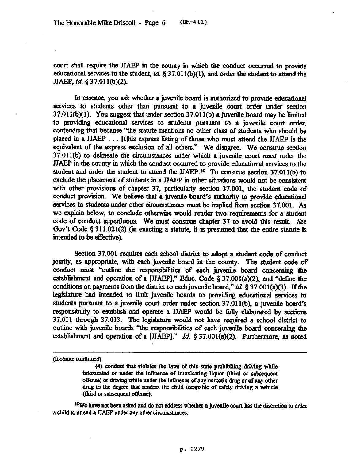court shall require the JJAEP in the county in which the conduct occurred to provide educational services to the student, *id. \$37.011(b)(l),* and order the student to attend the JJAEP. *id. \$37.01* l(b)(2).

Jn essence, you ask whether a juvenile board is authorized to provide educational services to students other than pursuant to a juvenile court order under section 37.011(b)(l). You suggest that under section 37.011(b) a juvenile board may be iimited to providing educational services to students pursuant to a juvenile court order, contending that because "the statute mentions no other class of students who should be placed in a JJAEP . . . [t]his express listing of those who must attend the JJAEP is the equivalent of the express exclusion of all others." We disagree. We construe section  $37.011(b)$  to delineate the circumstances under which a juvenile court *must* order the JJAEP in the county in which the conduct occurred to provide educational services to the student and order the student to attend the JJAEP.16 To construe section 37.011(b) to exclude the placement of students in a JJAEP in other situations would not be consistent with other provisions of chapter 37, particularly section 37.001, the student code of conduct provision We believe that a juvenile board's authority to provide educational services to students under other circumstances must be implied from section 37.001. As we explain below, to conclude otherwise would render two requirements for a student code of conduct supertluous. We must construe chapter 37 to avoid this result. See Gov't Code  $\S 311.021(2)$  (in enacting a statute, it is presumed that the entire statute is intended to be effective).

Section 37.001 requires each school district to adopt a student code of conduct jointly, as appropriate, with each juvenile board in the county. The student code of conduct must "outline the responsibilities of each juvenile board concerning the establishment and operation of a [JJAEP]," Educ. Code  $\S 37.001(a)(2)$ , and "define the conditions on payments from the district to each juvenile board," id.  $\frac{537.001(a)(3)}{1}$ . If the legislature had intended to limit juvenile boards to providing educational services to students pursuant to a juvenile court order under section 37.011(b), a juvenile board's responsibility to establish and operate a JJAEP would be fully elaborated by sections 37.011 through 37.013. The legislature would not have required a school district to outline with juvenile boards "the responsibilities of each juvenile board concerning the establishment and operation of a [JJAEP]." *Id. §* 37.001(a)(2). Furthermore, as noted

<sup>16</sup>We have not been asked and do not address whether a juvenile court has the discretion to order a child to attend a JJAEP under any other circumstances.

<sup>(</sup>footnote continued)

<sup>(4)</sup> conduct that violates the laws of this state prohibiting driving while intoxicated or under the influence of intoxicating liquor (third or subsequent offense) or driving while under the influence of any narcotic drug or of any other drug to the degree that renders the child incapable of safely driving a vehicle (third or subsequent offense).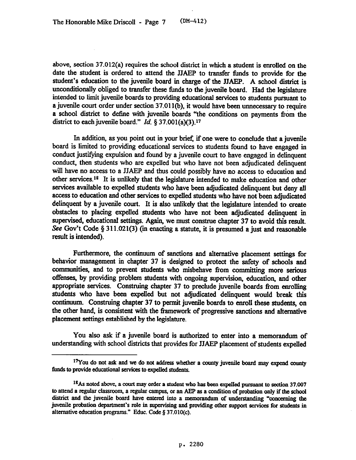above, section 37.012(a) requires the school district in which a student is enrolled on the date the student is ordered to attend the JJAEP to transfer funds to provide for the student's education to the juvenile board in charge of the JJAEP. A school district is unconditionally obliged to transfer these funds to the juvenile board. Had the legislature intended to limit juvenile boards to providing educational services to students pursuant to a juvenile court order under section 37.011(b), it would have been unnecessary to require a school district to define with juvenile boards "the conditions on payments from the district to each juvenile board." *Id.*  $\S 37.001(a)(3)$ .<sup>17</sup>

In addition, as you point out in your brief, if one were to conclude that a juvenile board is limited to providing educational services to students found to have engaged in conduct justifying expulsion and found by a juvenile court to have engaged in delinquent conduct, then students who are expelled but who have not been adjudicated delmquent will have no access to a JJAEP and thus could possibly have no access to education and other services.<sup>18</sup> It is unlikely that the legislature intended to make education and other services available to expelled students who have been adjudicated delinquent but deny all access to education and other services to expelled students who have not been adjudicated delinquent by a juvenile court. It is also unlikely that the legislature intended to create obstacles to placing expelled students who have not been adjudicated delinquent in supervised, educational settings. Again, we must construe chapter 37 to avoid this result. See Gov't Code  $\S 311.021(3)$  (in enacting a statute, it is presumed a just and reasonable result is intended).

Furthermore, the continuum of sanctions and alternative placement settings for behavior management in chapter 37 is designed to protect the safety of schools and communities, and to prevent students who misbehave from committing more serious offenses, by providing problem students with ongoing supervision, education, and other appropriate services. Construing chapter 37 to preclude juvenile boards from enrolling students who have been expelled but not adjudicated delinquent would break this continuum. Construing chapter 37 to permit juvenile boards to enroll these students, on the other hand, is consistent with the framework of progressive sanctions and alternative placement settings established by the legislature.

You also ask if a juvenile board is authorized to enter into a memorandum of understanding with school districts that provides for JJAEP placement of students expelled

<sup>&</sup>lt;sup>17</sup>You do not ask and we do not address whether a county juvenile board may expend county funds to provide educational services to expelled students.

<sup>&</sup>lt;sup>18</sup>As noted above, a court may order a student who has been expelled pursuant to section 37.007 to attend a regular classroom, a regular campus, or an AEP as a condition of probation only if the school district and the juvenile board have entered into a memorandum of understanding "concerning the juvenile probation department's role in supervising and providing other support services for students in alternative education programs." Educ. Code § 37.010(c).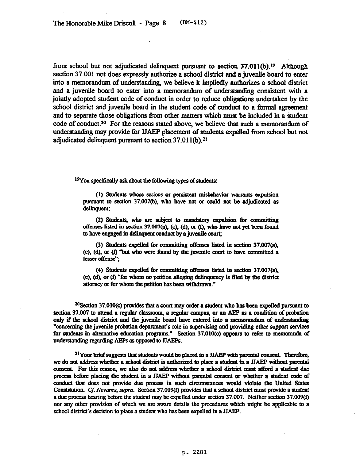from school but not adjudicated delinquent pursuant to section  $37.011(b).<sup>19</sup>$  Although section 37.001 not does expressly authorize a school district and a juvenile board to enter into a memorandum of understanding, we believe it impliedly authorizes a school district and a juvenile board to enter into a memorandum of understanding consistent with a jointly adopted student code of conduct in order to reduce obligations undertaken by the school district and juvenile board in the student code of conduct to a formal agreement and to separate those obligations from other matters which must be included in a student code of conduct.<sup>20</sup> For the reasons stated above, we believe that such a memorandum of understanding may provide for JJAFP placement of students expelled from school but not adjudicated delinquent pursuant to section 37.011(b).<sup>21</sup>

<sup>19</sup>You specifically ask about the following types of students:

(1) Students whose serious or persistent misbehavior warrants expulsion pursuant to section 37.007(b), who have not or could not be adjudicated as delinquent;

(2) Students, who are subject to mandatory expulsion for committing offenses listed in section  $37.007(a)$ , (c), (d), or (f), who have not yet been found to have engaged in delinquent conduct by a juvenile court;

(3) Students expelled for committing offenses listed in section 37.007(a), (c), (d), or (f) "but who were found by the juvenile court to have committed a lesser offense";

(4) Students expelled for committing offenses listed in section 37.007(a), (c), (d), or (f) "for whom no petition alleging delinquency is filed by the district attorney or for whom the petition has been withdrawn."

 $20$ Section 37.010(c) provides that a court may order a student who has been expelled pursuant to section 37.007 to attend a regular classroom, a regular campus, or an AEP as a condition of probation only if the school district and the juvenile board have entered into a memorandum of understanding "concerning the juvenile probation department's role in supervising and providing other support services for students in alternative education programs." Section 37.010(c) appears to refer to memoranda of understanding regarding AEPs as opposed to JJAEPs.

 $21$ Your brief suggests that students would be placed in a JJAEP with parental consent. Therefore, we do not address whether a school district is authorized to place a student in a JJAEP without parental consent. For this reason, we also do not address whether a school district must afford a student due process before placing the student in a JJAEP without parental consent or whether a student code of conduct that does not provide due process in such circumstances would violate the United States Constitution. Cf. Nevares, supra. Section 37.009(f) provides that a school district must provide a student a due process hearing before the student may be expelled under section 37.007. Neither section  $37.009(f)$ nor any other provision of which we are aware details the procedures which might be applicable to a school district's decision to place a student who has been expelled in a JJAEP.